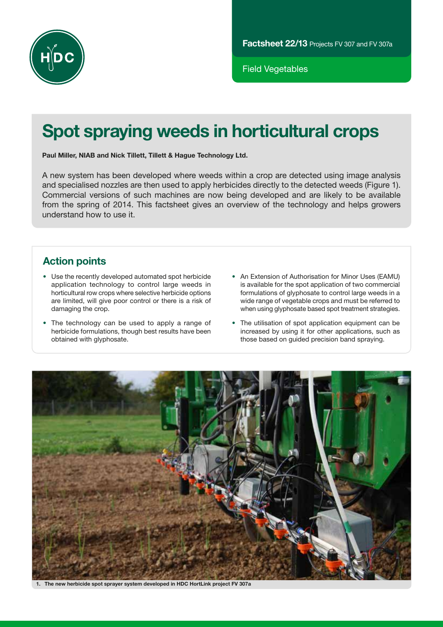

Field Vegetables

# Spot spraying weeds in horticultural crops

Paul Miller, NIAB and Nick Tillett, Tillett & Hague Technology Ltd.

A new system has been developed where weeds within a crop are detected using image analysis and specialised nozzles are then used to apply herbicides directly to the detected weeds (Figure 1). Commercial versions of such machines are now being developed and are likely to be available from the spring of 2014. This factsheet gives an overview of the technology and helps growers understand how to use it.

# Action points

- Use the recently developed automated spot herbicide application technology to control large weeds in horticultural row crops where selective herbicide options are limited, will give poor control or there is a risk of damaging the crop.
- The technology can be used to apply a range of herbicide formulations, though best results have been obtained with glyphosate.
- An Extension of Authorisation for Minor Uses (EAMU) is available for the spot application of two commercial formulations of glyphosate to control large weeds in a wide range of vegetable crops and must be referred to when using glyphosate based spot treatment strategies.
- The utilisation of spot application equipment can be increased by using it for other applications, such as those based on guided precision band spraying.



1. The new herbicide spot sprayer system developed in HDC HortLink project FV 307a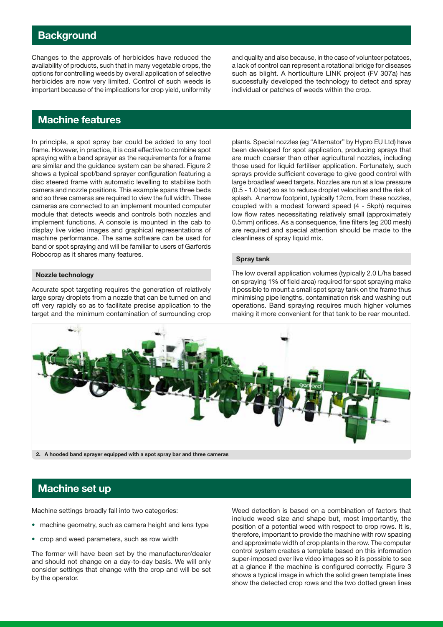### **Background**

Changes to the approvals of herbicides have reduced the availability of products, such that in many vegetable crops, the options for controlling weeds by overall application of selective herbicides are now very limited. Control of such weeds is important because of the implications for crop yield, uniformity and quality and also because, in the case of volunteer potatoes, a lack of control can represent a rotational bridge for diseases such as blight. A horticulture LINK project (FV 307a) has successfully developed the technology to detect and spray individual or patches of weeds within the crop.

# Machine features

In principle, a spot spray bar could be added to any tool frame. However, in practice, it is cost effective to combine spot spraying with a band sprayer as the requirements for a frame are similar and the guidance system can be shared. Figure 2 shows a typical spot/band sprayer configuration featuring a disc steered frame with automatic levelling to stabilise both camera and nozzle positions. This example spans three beds and so three cameras are required to view the full width. These cameras are connected to an implement mounted computer module that detects weeds and controls both nozzles and implement functions. A console is mounted in the cab to display live video images and graphical representations of machine performance. The same software can be used for band or spot spraying and will be familiar to users of Garfords Robocrop as it shares many features.

#### Nozzle technology

Accurate spot targeting requires the generation of relatively large spray droplets from a nozzle that can be turned on and off very rapidly so as to facilitate precise application to the target and the minimum contamination of surrounding crop

plants. Special nozzles (eg "Alternator" by Hypro EU Ltd) have been developed for spot application, producing sprays that are much coarser than other agricultural nozzles, including those used for liquid fertiliser application. Fortunately, such sprays provide sufficient coverage to give good control with large broadleaf weed targets. Nozzles are run at a low pressure (0.5 - 1.0 bar) so as to reduce droplet velocities and the risk of splash. A narrow footprint, typically 12cm, from these nozzles, coupled with a modest forward speed (4 - 5kph) requires low flow rates necessitating relatively small (approximately 0.5mm) orifices. As a consequence, fine filters (eg 200 mesh) are required and special attention should be made to the cleanliness of spray liquid mix.

#### Spray tank

The low overall application volumes (typically 2.0 L/ha based on spraying 1% of field area) required for spot spraying make it possible to mount a small spot spray tank on the frame thus minimising pipe lengths, contamination risk and washing out operations. Band spraying requires much higher volumes making it more convenient for that tank to be rear mounted.



# Machine set up

Machine settings broadly fall into two categories:

- machine geometry, such as camera height and lens type
- crop and weed parameters, such as row width

The former will have been set by the manufacturer/dealer and should not change on a day-to-day basis. We will only consider settings that change with the crop and will be set by the operator.

Weed detection is based on a combination of factors that include weed size and shape but, most importantly, the position of a potential weed with respect to crop rows. It is, therefore, important to provide the machine with row spacing and approximate width of crop plants in the row. The computer control system creates a template based on this information super-imposed over live video images so it is possible to see at a glance if the machine is configured correctly. Figure 3 shows a typical image in which the solid green template lines show the detected crop rows and the two dotted green lines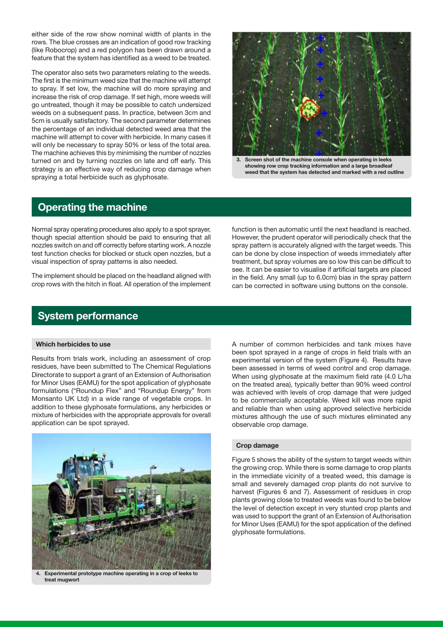either side of the row show nominal width of plants in the rows. The blue crosses are an indication of good row tracking (like Robocrop) and a red polygon has been drawn around a feature that the system has identified as a weed to be treated.

The operator also sets two parameters relating to the weeds. The first is the minimum weed size that the machine will attempt to spray. If set low, the machine will do more spraying and increase the risk of crop damage. If set high, more weeds will go untreated, though it may be possible to catch undersized weeds on a subsequent pass. In practice, between 3cm and 5cm is usually satisfactory. The second parameter determines the percentage of an individual detected weed area that the machine will attempt to cover with herbicide. In many cases it will only be necessary to spray 50% or less of the total area. The machine achieves this by minimising the number of nozzles turned on and by turning nozzles on late and off early. This strategy is an effective way of reducing crop damage when spraying a total herbicide such as glyphosate.



Screen shot of the machine console when operating in leeks showing row crop tracking information and a large broadleaf weed that the system has detected and marked with a red outline

#### Operating the machine

Normal spray operating procedures also apply to a spot sprayer, though special attention should be paid to ensuring that all nozzles switch on and off correctly before starting work. A nozzle test function checks for blocked or stuck open nozzles, but a visual inspection of spray patterns is also needed.

The implement should be placed on the headland aligned with crop rows with the hitch in float. All operation of the implement function is then automatic until the next headland is reached. However, the prudent operator will periodically check that the spray pattern is accurately aligned with the target weeds. This can be done by close inspection of weeds immediately after treatment, but spray volumes are so low this can be difficult to see. It can be easier to visualise if artificial targets are placed in the field. Any small (up to 6.0cm) bias in the spray pattern can be corrected in software using buttons on the console.

# System performance

#### Which herbicides to use

Results from trials work, including an assessment of crop residues, have been submitted to The Chemical Regulations Directorate to support a grant of an Extension of Authorisation for Minor Uses (EAMU) for the spot application of glyphosate formulations ("Roundup Flex" and "Roundup Energy" from Monsanto UK Ltd) in a wide range of vegetable crops. In addition to these glyphosate formulations, any herbicides or mixture of herbicides with the appropriate approvals for overall application can be spot sprayed.



4. Experimental prototype machine operating in a crop of leeks to treat mugwort

A number of common herbicides and tank mixes have been spot sprayed in a range of crops in field trials with an experimental version of the system (Figure 4). Results have been assessed in terms of weed control and crop damage. When using glyphosate at the maximum field rate (4.0 L/ha on the treated area), typically better than 90% weed control was achieved with levels of crop damage that were judged to be commercially acceptable. Weed kill was more rapid and reliable than when using approved selective herbicide mixtures although the use of such mixtures eliminated any observable crop damage.

#### Crop damage

Figure 5 shows the ability of the system to target weeds within the growing crop. While there is some damage to crop plants in the immediate vicinity of a treated weed, this damage is small and severely damaged crop plants do not survive to harvest (Figures 6 and 7). Assessment of residues in crop plants growing close to treated weeds was found to be below the level of detection except in very stunted crop plants and was used to support the grant of an Extension of Authorisation for Minor Uses (EAMU) for the spot application of the defined glyphosate formulations.